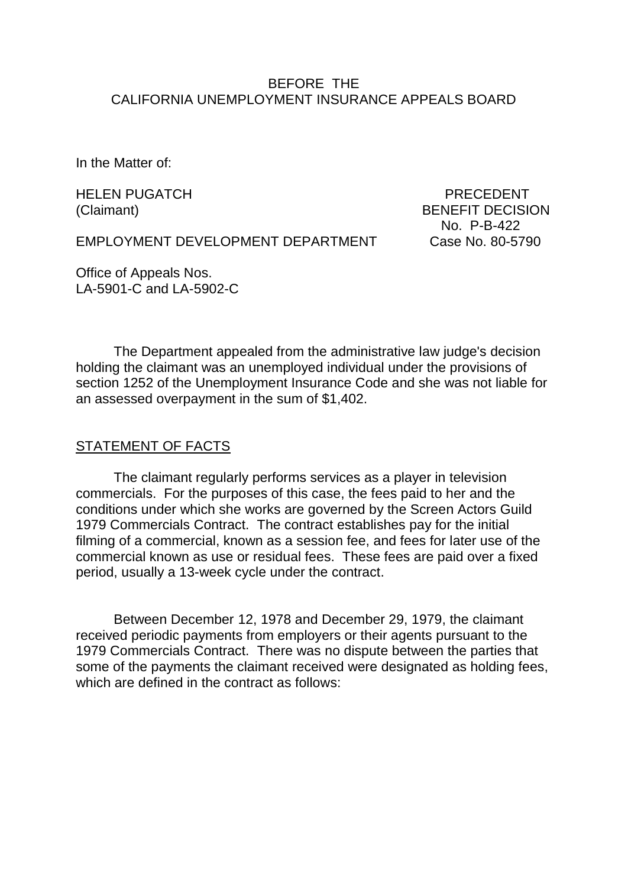### BEFORE THE CALIFORNIA UNEMPLOYMENT INSURANCE APPEALS BOARD

In the Matter of:

HELEN PUGATCH PRECEDENT

(Claimant) BENEFIT DECISION No. P-B-422

EMPLOYMENT DEVELOPMENT DEPARTMENT Case No. 80-5790

Office of Appeals Nos. LA-5901-C and LA-5902-C

The Department appealed from the administrative law judge's decision holding the claimant was an unemployed individual under the provisions of section 1252 of the Unemployment Insurance Code and she was not liable for an assessed overpayment in the sum of \$1,402.

### STATEMENT OF FACTS

The claimant regularly performs services as a player in television commercials. For the purposes of this case, the fees paid to her and the conditions under which she works are governed by the Screen Actors Guild 1979 Commercials Contract. The contract establishes pay for the initial filming of a commercial, known as a session fee, and fees for later use of the commercial known as use or residual fees. These fees are paid over a fixed period, usually a 13-week cycle under the contract.

Between December 12, 1978 and December 29, 1979, the claimant received periodic payments from employers or their agents pursuant to the 1979 Commercials Contract. There was no dispute between the parties that some of the payments the claimant received were designated as holding fees, which are defined in the contract as follows: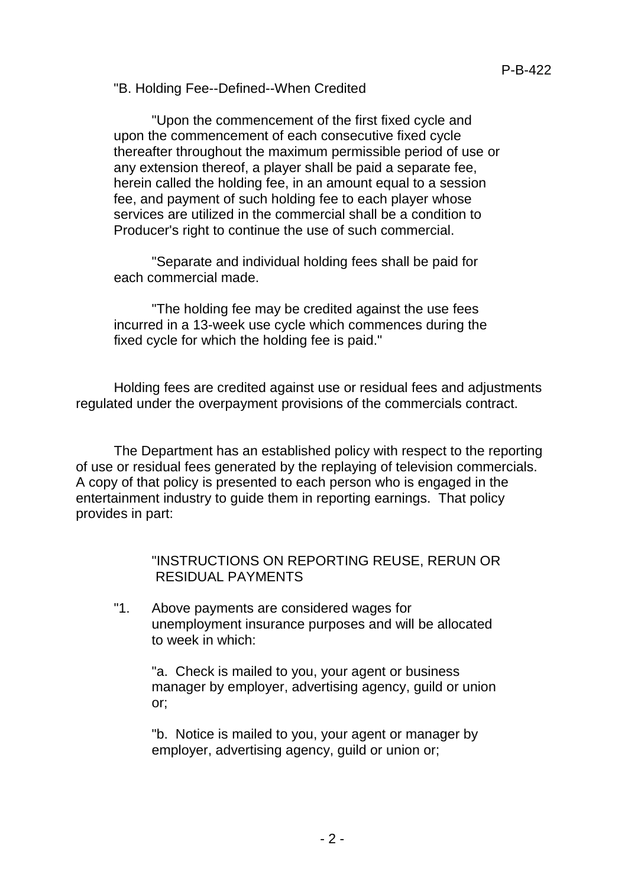"B. Holding Fee--Defined--When Credited

"Upon the commencement of the first fixed cycle and upon the commencement of each consecutive fixed cycle thereafter throughout the maximum permissible period of use or any extension thereof, a player shall be paid a separate fee, herein called the holding fee, in an amount equal to a session fee, and payment of such holding fee to each player whose services are utilized in the commercial shall be a condition to Producer's right to continue the use of such commercial.

"Separate and individual holding fees shall be paid for each commercial made.

"The holding fee may be credited against the use fees incurred in a 13-week use cycle which commences during the fixed cycle for which the holding fee is paid."

Holding fees are credited against use or residual fees and adjustments regulated under the overpayment provisions of the commercials contract.

The Department has an established policy with respect to the reporting of use or residual fees generated by the replaying of television commercials. A copy of that policy is presented to each person who is engaged in the entertainment industry to guide them in reporting earnings. That policy provides in part:

> "INSTRUCTIONS ON REPORTING REUSE, RERUN OR RESIDUAL PAYMENTS

"1. Above payments are considered wages for unemployment insurance purposes and will be allocated to week in which:

"a. Check is mailed to you, your agent or business manager by employer, advertising agency, guild or union or;

"b. Notice is mailed to you, your agent or manager by employer, advertising agency, guild or union or;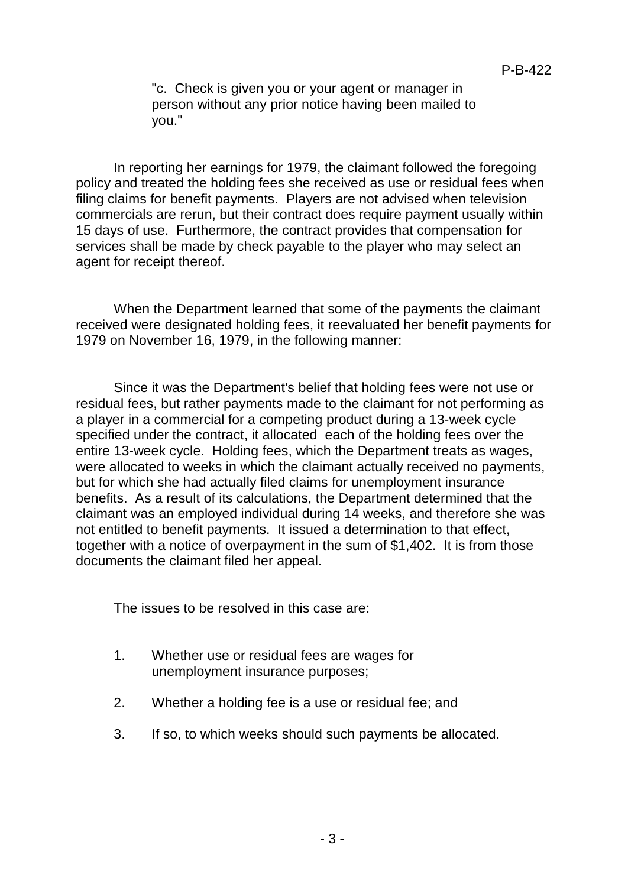"c. Check is given you or your agent or manager in person without any prior notice having been mailed to you."

In reporting her earnings for 1979, the claimant followed the foregoing policy and treated the holding fees she received as use or residual fees when filing claims for benefit payments. Players are not advised when television commercials are rerun, but their contract does require payment usually within 15 days of use. Furthermore, the contract provides that compensation for services shall be made by check payable to the player who may select an agent for receipt thereof.

When the Department learned that some of the payments the claimant received were designated holding fees, it reevaluated her benefit payments for 1979 on November 16, 1979, in the following manner:

Since it was the Department's belief that holding fees were not use or residual fees, but rather payments made to the claimant for not performing as a player in a commercial for a competing product during a 13-week cycle specified under the contract, it allocated each of the holding fees over the entire 13-week cycle. Holding fees, which the Department treats as wages, were allocated to weeks in which the claimant actually received no payments, but for which she had actually filed claims for unemployment insurance benefits. As a result of its calculations, the Department determined that the claimant was an employed individual during 14 weeks, and therefore she was not entitled to benefit payments. It issued a determination to that effect, together with a notice of overpayment in the sum of \$1,402. It is from those documents the claimant filed her appeal.

The issues to be resolved in this case are:

- 1. Whether use or residual fees are wages for unemployment insurance purposes;
- 2. Whether a holding fee is a use or residual fee; and
- 3. If so, to which weeks should such payments be allocated.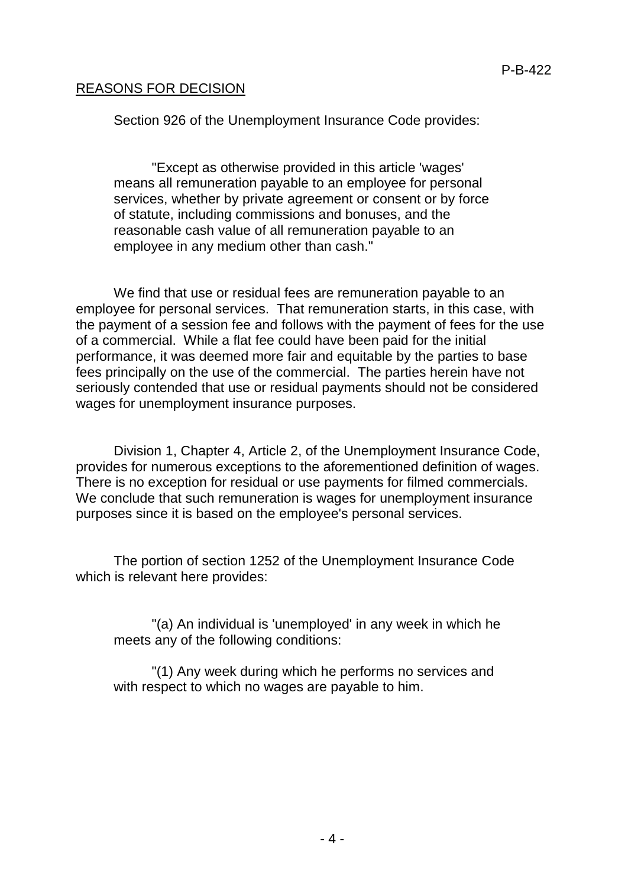## REASONS FOR DECISION

Section 926 of the Unemployment Insurance Code provides:

"Except as otherwise provided in this article 'wages' means all remuneration payable to an employee for personal services, whether by private agreement or consent or by force of statute, including commissions and bonuses, and the reasonable cash value of all remuneration payable to an employee in any medium other than cash."

We find that use or residual fees are remuneration payable to an employee for personal services. That remuneration starts, in this case, with the payment of a session fee and follows with the payment of fees for the use of a commercial. While a flat fee could have been paid for the initial performance, it was deemed more fair and equitable by the parties to base fees principally on the use of the commercial. The parties herein have not seriously contended that use or residual payments should not be considered wages for unemployment insurance purposes.

Division 1, Chapter 4, Article 2, of the Unemployment Insurance Code, provides for numerous exceptions to the aforementioned definition of wages. There is no exception for residual or use payments for filmed commercials. We conclude that such remuneration is wages for unemployment insurance purposes since it is based on the employee's personal services.

The portion of section 1252 of the Unemployment Insurance Code which is relevant here provides:

"(a) An individual is 'unemployed' in any week in which he meets any of the following conditions:

"(1) Any week during which he performs no services and with respect to which no wages are payable to him.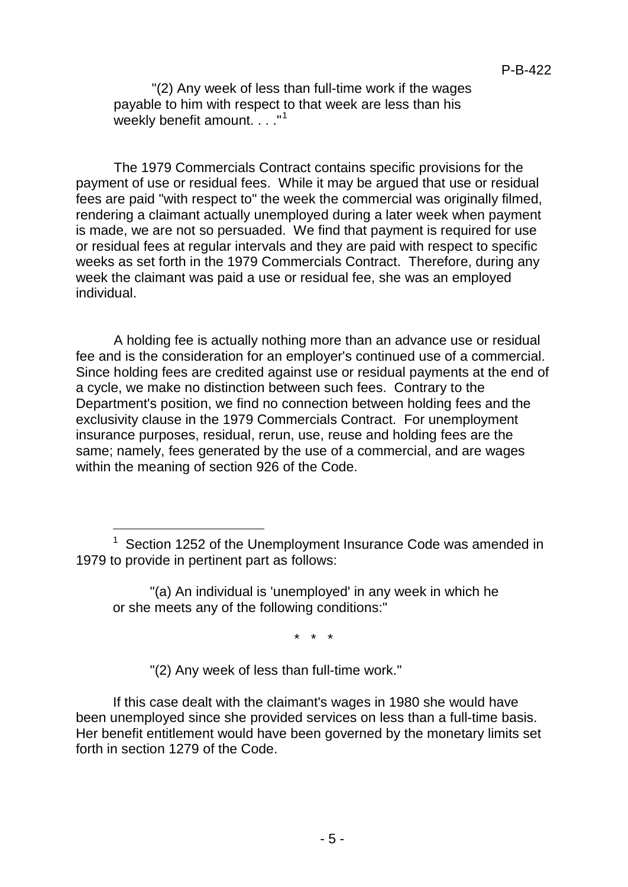"(2) Any week of less than full-time work if the wages payable to him with respect to that week are less than his weekly benefit amount...."<sup>[1](#page-4-0)</sup>

The 1979 Commercials Contract contains specific provisions for the payment of use or residual fees. While it may be argued that use or residual fees are paid "with respect to" the week the commercial was originally filmed, rendering a claimant actually unemployed during a later week when payment is made, we are not so persuaded. We find that payment is required for use or residual fees at regular intervals and they are paid with respect to specific weeks as set forth in the 1979 Commercials Contract. Therefore, during any week the claimant was paid a use or residual fee, she was an employed individual.

A holding fee is actually nothing more than an advance use or residual fee and is the consideration for an employer's continued use of a commercial. Since holding fees are credited against use or residual payments at the end of a cycle, we make no distinction between such fees. Contrary to the Department's position, we find no connection between holding fees and the exclusivity clause in the 1979 Commercials Contract. For unemployment insurance purposes, residual, rerun, use, reuse and holding fees are the same; namely, fees generated by the use of a commercial, and are wages within the meaning of section 926 of the Code.

\* \* \*

"(2) Any week of less than full-time work."

Ĩ

If this case dealt with the claimant's wages in 1980 she would have been unemployed since she provided services on less than a full-time basis. Her benefit entitlement would have been governed by the monetary limits set forth in section 1279 of the Code.

<span id="page-4-0"></span> $1$  Section 1252 of the Unemployment Insurance Code was amended in 1979 to provide in pertinent part as follows:

<sup>&</sup>quot;(a) An individual is 'unemployed' in any week in which he or she meets any of the following conditions:"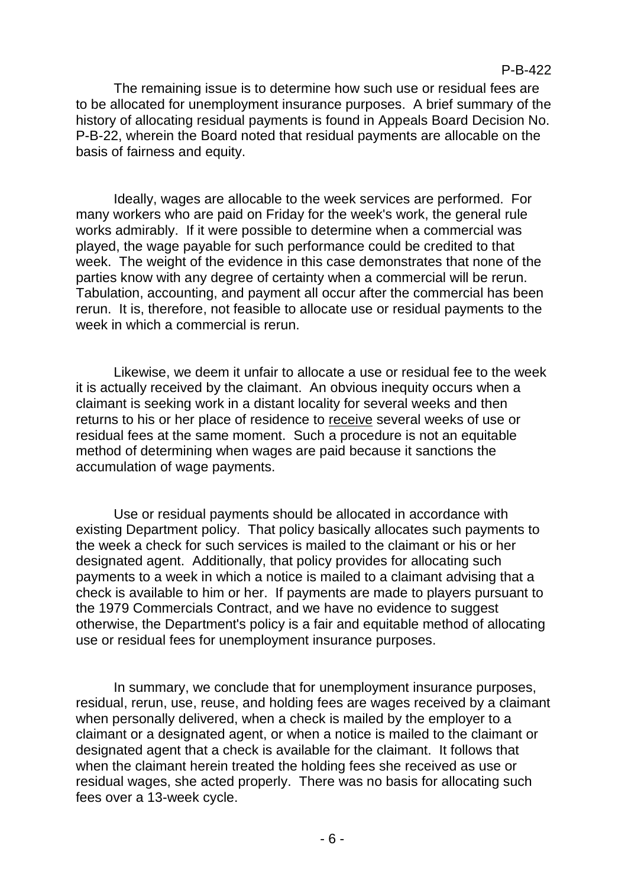The remaining issue is to determine how such use or residual fees are to be allocated for unemployment insurance purposes. A brief summary of the history of allocating residual payments is found in Appeals Board Decision No. P-B-22, wherein the Board noted that residual payments are allocable on the basis of fairness and equity.

Ideally, wages are allocable to the week services are performed. For many workers who are paid on Friday for the week's work, the general rule works admirably. If it were possible to determine when a commercial was played, the wage payable for such performance could be credited to that week. The weight of the evidence in this case demonstrates that none of the parties know with any degree of certainty when a commercial will be rerun. Tabulation, accounting, and payment all occur after the commercial has been rerun. It is, therefore, not feasible to allocate use or residual payments to the week in which a commercial is rerun.

Likewise, we deem it unfair to allocate a use or residual fee to the week it is actually received by the claimant. An obvious inequity occurs when a claimant is seeking work in a distant locality for several weeks and then returns to his or her place of residence to receive several weeks of use or residual fees at the same moment. Such a procedure is not an equitable method of determining when wages are paid because it sanctions the accumulation of wage payments.

Use or residual payments should be allocated in accordance with existing Department policy. That policy basically allocates such payments to the week a check for such services is mailed to the claimant or his or her designated agent. Additionally, that policy provides for allocating such payments to a week in which a notice is mailed to a claimant advising that a check is available to him or her. If payments are made to players pursuant to the 1979 Commercials Contract, and we have no evidence to suggest otherwise, the Department's policy is a fair and equitable method of allocating use or residual fees for unemployment insurance purposes.

In summary, we conclude that for unemployment insurance purposes, residual, rerun, use, reuse, and holding fees are wages received by a claimant when personally delivered, when a check is mailed by the employer to a claimant or a designated agent, or when a notice is mailed to the claimant or designated agent that a check is available for the claimant. It follows that when the claimant herein treated the holding fees she received as use or residual wages, she acted properly. There was no basis for allocating such fees over a 13-week cycle.